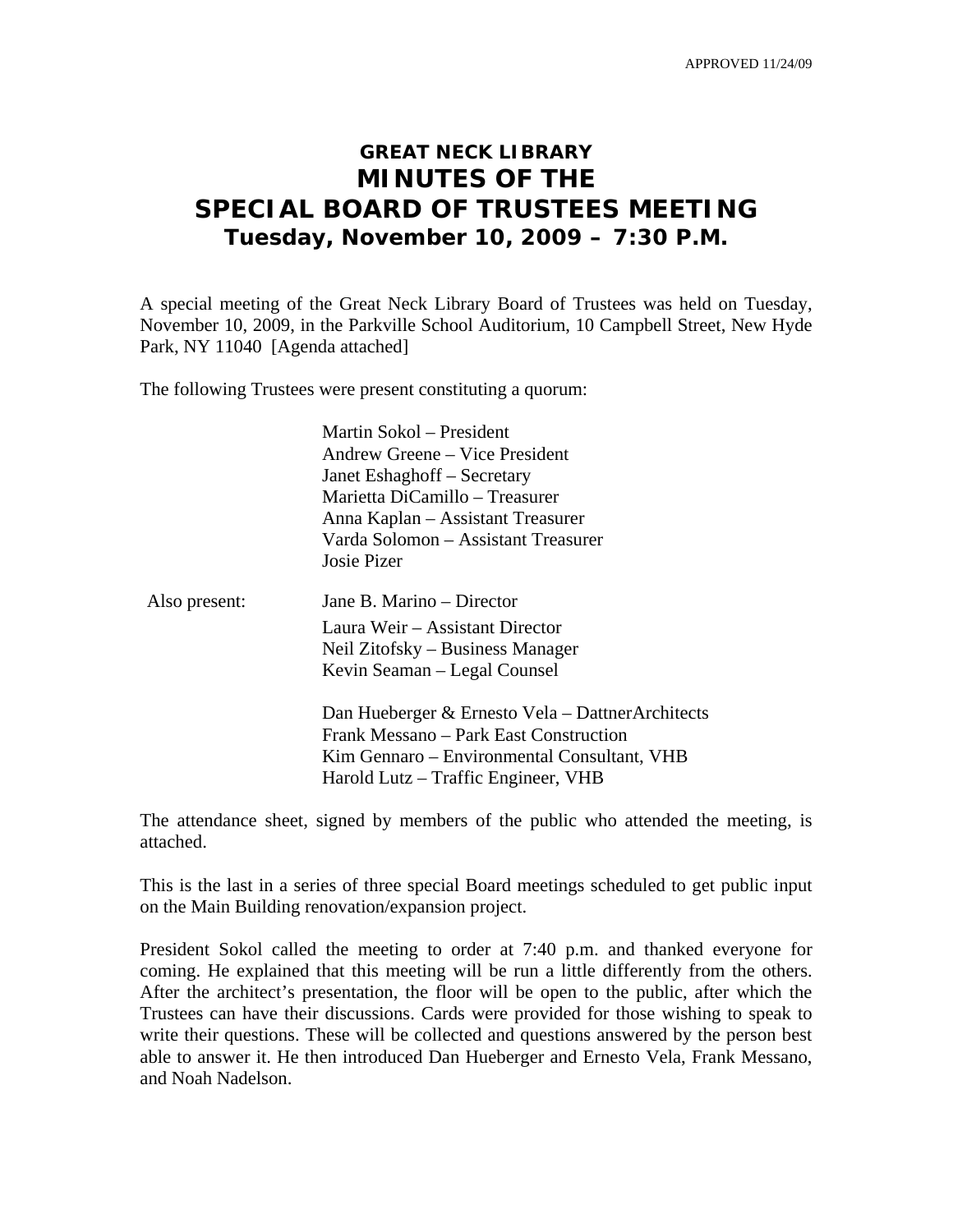APPROVED 11/24/09

# **GREAT NECK LIBRARY MINUTES OF THE SPECIAL BOARD OF TRUSTEES MEETING Tuesday, November 10, 2009 – 7:30 P.M.**

A special meeting of the Great Neck Library Board of Trustees was held on Tuesday, November 10, 2009, in the Parkville School Auditorium, 10 Campbell Street, New Hyde Park, NY 11040 [Agenda attached]

The following Trustees were present constituting a quorum:

 Martin Sokol – President Andrew Greene – Vice President Janet Eshaghoff – Secretary Marietta DiCamillo – Treasurer Anna Kaplan – Assistant Treasurer Varda Solomon – Assistant Treasurer Josie Pizer

| Also present: | Jane B. Marino – Director                                                                           |
|---------------|-----------------------------------------------------------------------------------------------------|
|               | Laura Weir – Assistant Director<br>Neil Zitofsky – Business Manager<br>Kevin Seaman – Legal Counsel |
|               | Dan Hueberger & Ernesto Vela – DattnerA                                                             |

den tects & Frank Messano – Park East Construction Kim Gennaro – Environmental Consultant, VHB Harold Lutz – Traffic Engineer, VHB

The attendance sheet, signed by members of the public who attended the meeting, is attached.

This is the last in a series of three special Board meetings scheduled to get public input on the Main Building renovation/expansion project.

President Sokol called the meeting to order at 7:40 p.m. and thanked everyone for coming. He explained that this meeting will be run a little differently from the others. After the architect's presentation, the floor will be open to the public, after which the Trustees can have their discussions. Cards were provided for those wishing to speak to write their questions. These will be collected and questions answered by the person best able to answer it. He then introduced Dan Hueberger and Ernesto Vela, Frank Messano, and Noah Nadelson.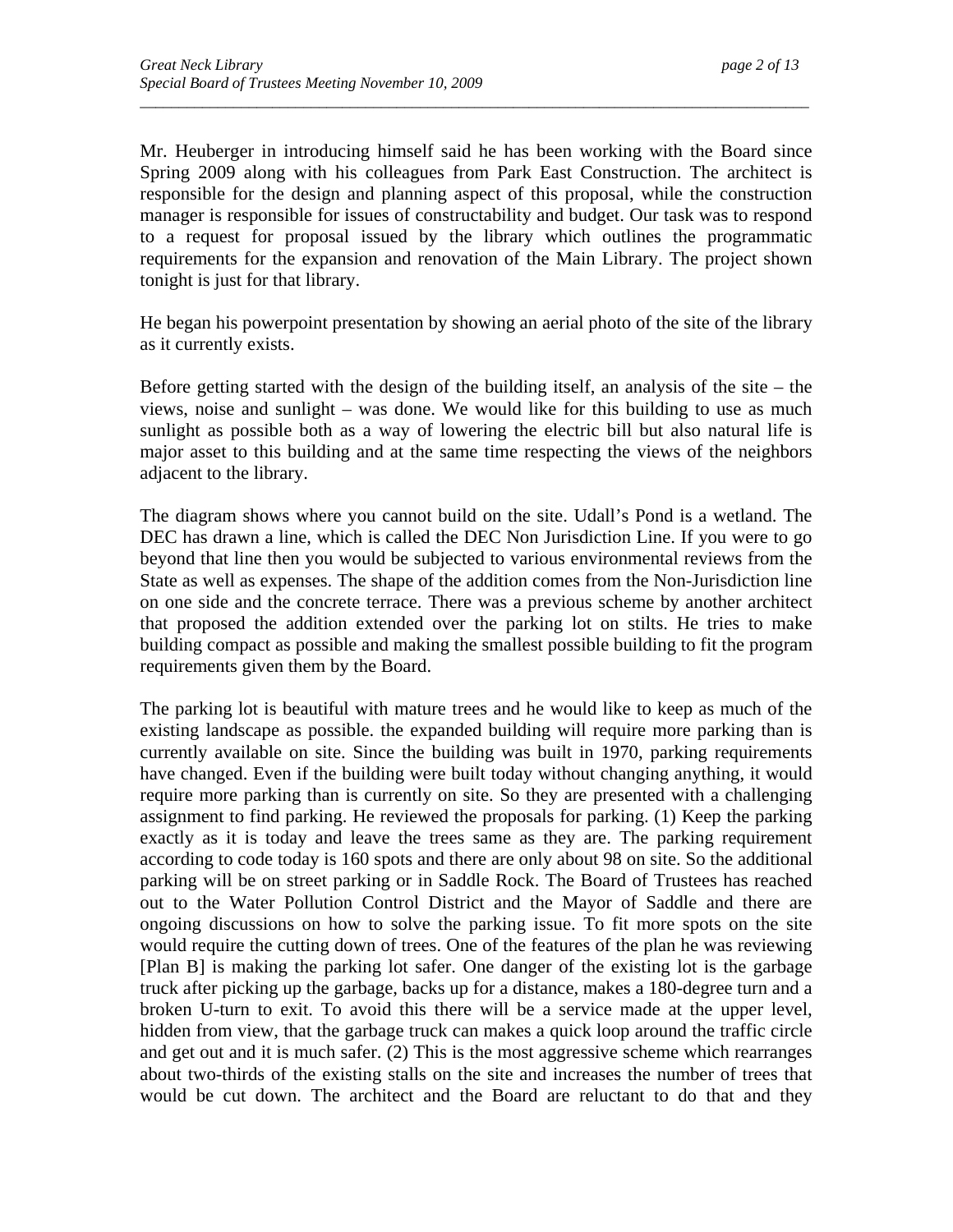Mr. Heuberger in introducing himself said he has been working with the Board since Spring 2009 along with his colleagues from Park East Construction. The architect is responsible for the design and planning aspect of this proposal, while the construction manager is responsible for issues of constructability and budget. Our task was to respond to a request for proposal issued by the library which outlines the programmatic requirements for the expansion and renovation of the Main Library. The project shown tonight is just for that library.

*\_\_\_\_\_\_\_\_\_\_\_\_\_\_\_\_\_\_\_\_\_\_\_\_\_\_\_\_\_\_\_\_\_\_\_\_\_\_\_\_\_\_\_\_\_\_\_\_\_\_\_\_\_\_\_\_\_\_\_\_\_\_\_\_\_\_\_\_\_\_\_\_\_\_\_\_\_\_\_\_\_\_\_\_\_\_* 

He began his powerpoint presentation by showing an aerial photo of the site of the library as it currently exists.

Before getting started with the design of the building itself, an analysis of the site – the views, noise and sunlight – was done. We would like for this building to use as much sunlight as possible both as a way of lowering the electric bill but also natural life is major asset to this building and at the same time respecting the views of the neighbors adjacent to the library.

The diagram shows where you cannot build on the site. Udall's Pond is a wetland. The DEC has drawn a line, which is called the DEC Non Jurisdiction Line. If you were to go beyond that line then you would be subjected to various environmental reviews from the State as well as expenses. The shape of the addition comes from the Non-Jurisdiction line on one side and the concrete terrace. There was a previous scheme by another architect that proposed the addition extended over the parking lot on stilts. He tries to make building compact as possible and making the smallest possible building to fit the program requirements given them by the Board.

The parking lot is beautiful with mature trees and he would like to keep as much of the existing landscape as possible. the expanded building will require more parking than is currently available on site. Since the building was built in 1970, parking requirements have changed. Even if the building were built today without changing anything, it would require more parking than is currently on site. So they are presented with a challenging assignment to find parking. He reviewed the proposals for parking. (1) Keep the parking exactly as it is today and leave the trees same as they are. The parking requirement according to code today is 160 spots and there are only about 98 on site. So the additional parking will be on street parking or in Saddle Rock. The Board of Trustees has reached out to the Water Pollution Control District and the Mayor of Saddle and there are ongoing discussions on how to solve the parking issue. To fit more spots on the site would require the cutting down of trees. One of the features of the plan he was reviewing [Plan B] is making the parking lot safer. One danger of the existing lot is the garbage truck after picking up the garbage, backs up for a distance, makes a 180-degree turn and a broken U-turn to exit. To avoid this there will be a service made at the upper level, hidden from view, that the garbage truck can makes a quick loop around the traffic circle and get out and it is much safer. (2) This is the most aggressive scheme which rearranges about two-thirds of the existing stalls on the site and increases the number of trees that would be cut down. The architect and the Board are reluctant to do that and they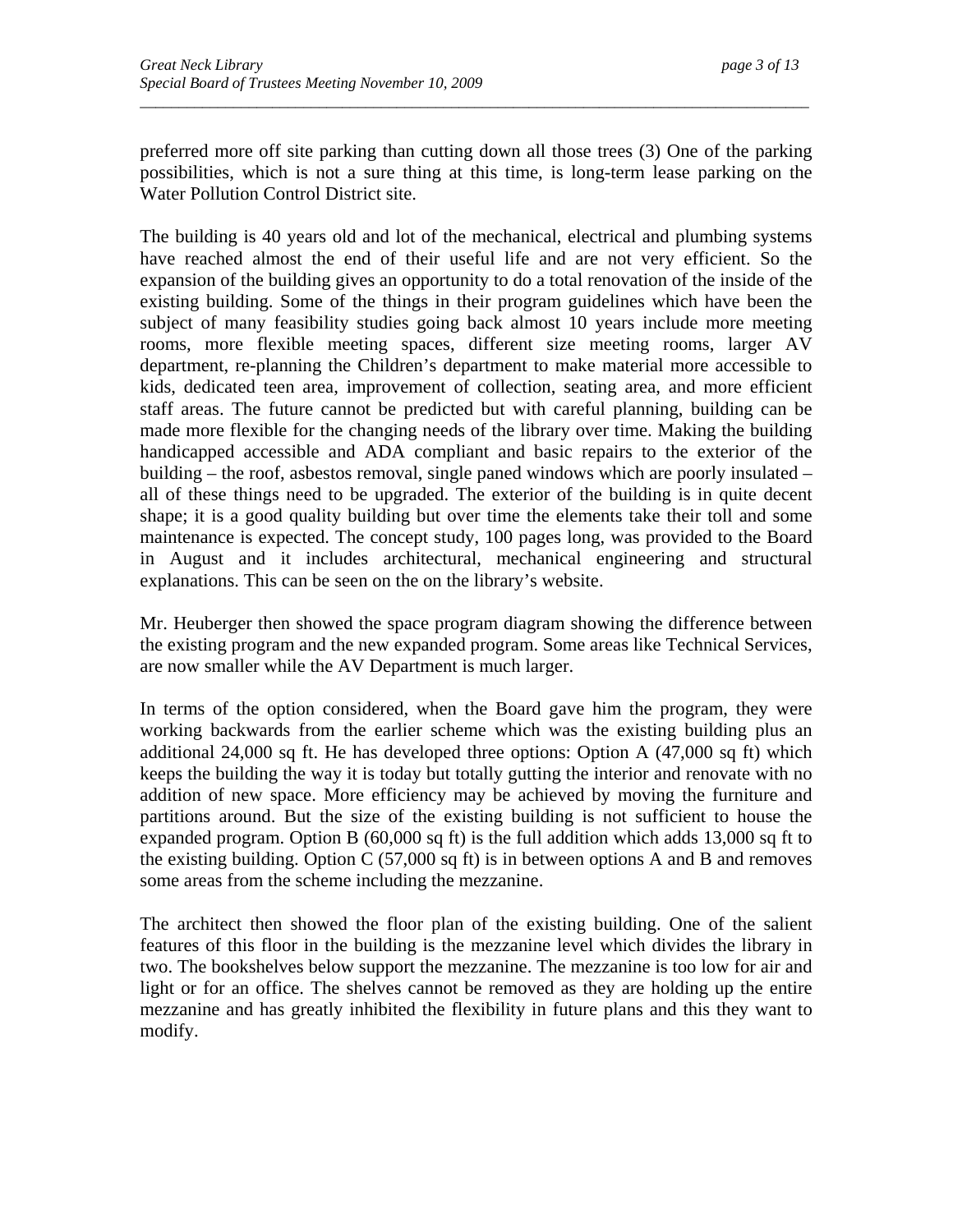preferred more off site parking than cutting down all those trees (3) One of the parking possibilities, which is not a sure thing at this time, is long-term lease parking on the Water Pollution Control District site.

*\_\_\_\_\_\_\_\_\_\_\_\_\_\_\_\_\_\_\_\_\_\_\_\_\_\_\_\_\_\_\_\_\_\_\_\_\_\_\_\_\_\_\_\_\_\_\_\_\_\_\_\_\_\_\_\_\_\_\_\_\_\_\_\_\_\_\_\_\_\_\_\_\_\_\_\_\_\_\_\_\_\_\_\_\_\_* 

The building is 40 years old and lot of the mechanical, electrical and plumbing systems have reached almost the end of their useful life and are not very efficient. So the expansion of the building gives an opportunity to do a total renovation of the inside of the existing building. Some of the things in their program guidelines which have been the subject of many feasibility studies going back almost 10 years include more meeting rooms, more flexible meeting spaces, different size meeting rooms, larger AV department, re-planning the Children's department to make material more accessible to kids, dedicated teen area, improvement of collection, seating area, and more efficient staff areas. The future cannot be predicted but with careful planning, building can be made more flexible for the changing needs of the library over time. Making the building handicapped accessible and ADA compliant and basic repairs to the exterior of the building – the roof, asbestos removal, single paned windows which are poorly insulated – all of these things need to be upgraded. The exterior of the building is in quite decent shape; it is a good quality building but over time the elements take their toll and some maintenance is expected. The concept study, 100 pages long, was provided to the Board in August and it includes architectural, mechanical engineering and structural explanations. This can be seen on the on the library's website.

Mr. Heuberger then showed the space program diagram showing the difference between the existing program and the new expanded program. Some areas like Technical Services, are now smaller while the AV Department is much larger.

In terms of the option considered, when the Board gave him the program, they were working backwards from the earlier scheme which was the existing building plus an additional 24,000 sq ft. He has developed three options: Option A (47,000 sq ft) which keeps the building the way it is today but totally gutting the interior and renovate with no addition of new space. More efficiency may be achieved by moving the furniture and partitions around. But the size of the existing building is not sufficient to house the expanded program. Option B (60,000 sq ft) is the full addition which adds 13,000 sq ft to the existing building. Option C (57,000 sq ft) is in between options A and B and removes some areas from the scheme including the mezzanine.

The architect then showed the floor plan of the existing building. One of the salient features of this floor in the building is the mezzanine level which divides the library in two. The bookshelves below support the mezzanine. The mezzanine is too low for air and light or for an office. The shelves cannot be removed as they are holding up the entire mezzanine and has greatly inhibited the flexibility in future plans and this they want to modify.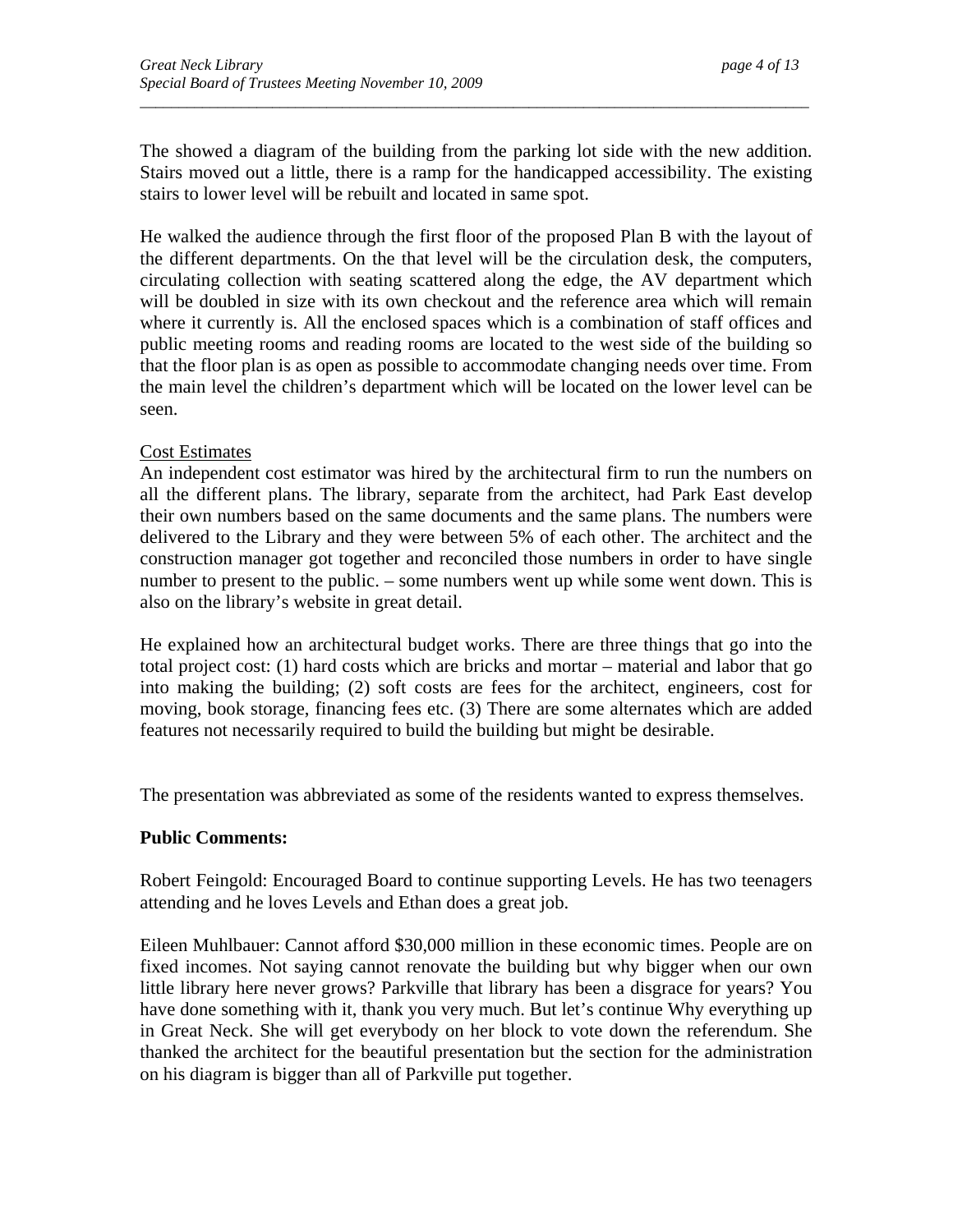The showed a diagram of the building from the parking lot side with the new addition. Stairs moved out a little, there is a ramp for the handicapped accessibility. The existing stairs to lower level will be rebuilt and located in same spot.

*\_\_\_\_\_\_\_\_\_\_\_\_\_\_\_\_\_\_\_\_\_\_\_\_\_\_\_\_\_\_\_\_\_\_\_\_\_\_\_\_\_\_\_\_\_\_\_\_\_\_\_\_\_\_\_\_\_\_\_\_\_\_\_\_\_\_\_\_\_\_\_\_\_\_\_\_\_\_\_\_\_\_\_\_\_\_* 

He walked the audience through the first floor of the proposed Plan B with the layout of the different departments. On the that level will be the circulation desk, the computers, circulating collection with seating scattered along the edge, the AV department which will be doubled in size with its own checkout and the reference area which will remain where it currently is. All the enclosed spaces which is a combination of staff offices and public meeting rooms and reading rooms are located to the west side of the building so that the floor plan is as open as possible to accommodate changing needs over time. From the main level the children's department which will be located on the lower level can be seen.

## Cost Estimates

An independent cost estimator was hired by the architectural firm to run the numbers on all the different plans. The library, separate from the architect, had Park East develop their own numbers based on the same documents and the same plans. The numbers were delivered to the Library and they were between 5% of each other. The architect and the construction manager got together and reconciled those numbers in order to have single number to present to the public. – some numbers went up while some went down. This is also on the library's website in great detail.

He explained how an architectural budget works. There are three things that go into the total project cost: (1) hard costs which are bricks and mortar – material and labor that go into making the building; (2) soft costs are fees for the architect, engineers, cost for moving, book storage, financing fees etc. (3) There are some alternates which are added features not necessarily required to build the building but might be desirable.

The presentation was abbreviated as some of the residents wanted to express themselves.

#### **Public Comments:**

Robert Feingold: Encouraged Board to continue supporting Levels. He has two teenagers attending and he loves Levels and Ethan does a great job.

Eileen Muhlbauer: Cannot afford \$30,000 million in these economic times. People are on fixed incomes. Not saying cannot renovate the building but why bigger when our own little library here never grows? Parkville that library has been a disgrace for years? You have done something with it, thank you very much. But let's continue Why everything up in Great Neck. She will get everybody on her block to vote down the referendum. She thanked the architect for the beautiful presentation but the section for the administration on his diagram is bigger than all of Parkville put together.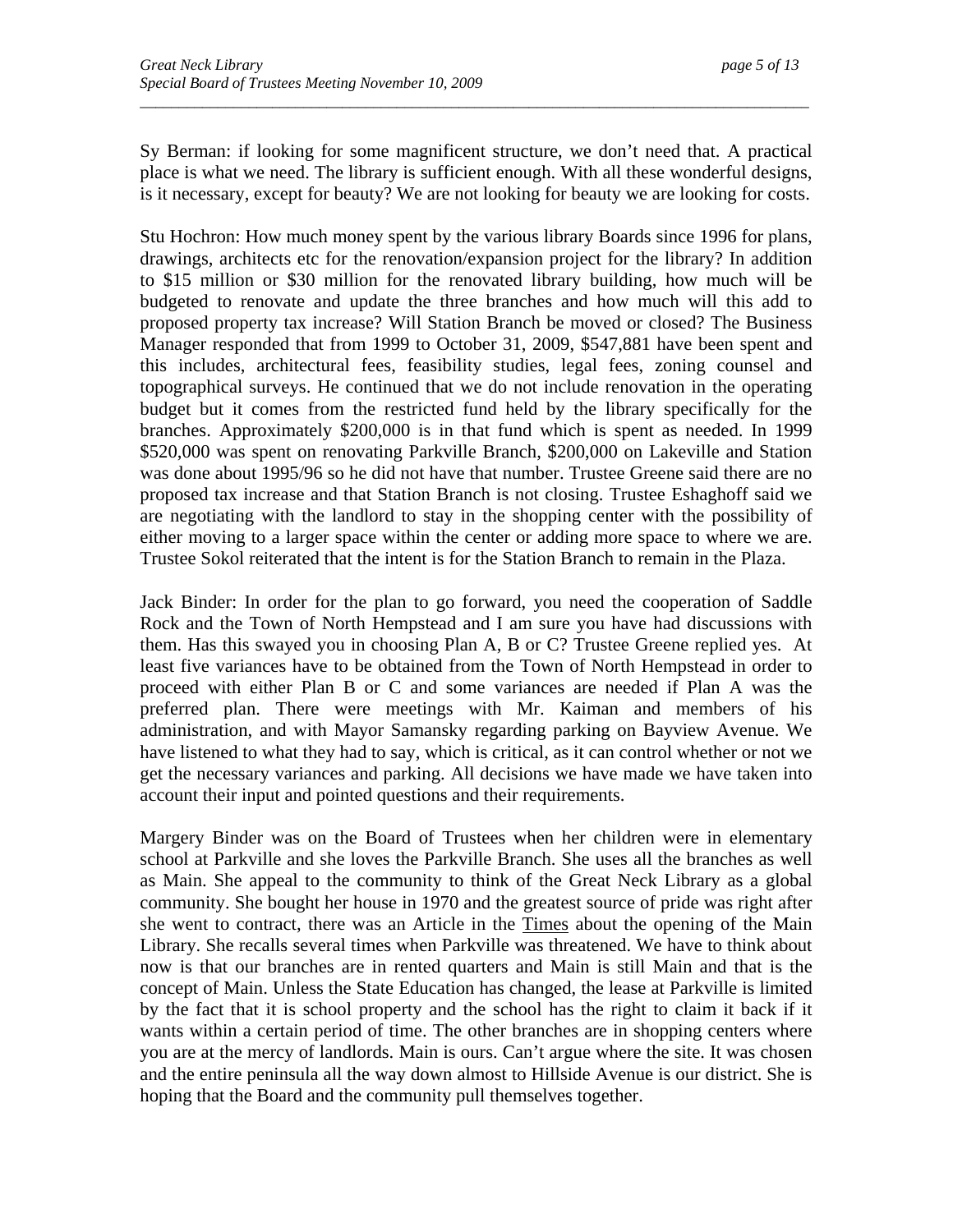Sy Berman: if looking for some magnificent structure, we don't need that. A practical place is what we need. The library is sufficient enough. With all these wonderful designs, is it necessary, except for beauty? We are not looking for beauty we are looking for costs.

*\_\_\_\_\_\_\_\_\_\_\_\_\_\_\_\_\_\_\_\_\_\_\_\_\_\_\_\_\_\_\_\_\_\_\_\_\_\_\_\_\_\_\_\_\_\_\_\_\_\_\_\_\_\_\_\_\_\_\_\_\_\_\_\_\_\_\_\_\_\_\_\_\_\_\_\_\_\_\_\_\_\_\_\_\_\_* 

Stu Hochron: How much money spent by the various library Boards since 1996 for plans, drawings, architects etc for the renovation/expansion project for the library? In addition to \$15 million or \$30 million for the renovated library building, how much will be budgeted to renovate and update the three branches and how much will this add to proposed property tax increase? Will Station Branch be moved or closed? The Business Manager responded that from 1999 to October 31, 2009, \$547,881 have been spent and this includes, architectural fees, feasibility studies, legal fees, zoning counsel and topographical surveys. He continued that we do not include renovation in the operating budget but it comes from the restricted fund held by the library specifically for the branches. Approximately \$200,000 is in that fund which is spent as needed. In 1999 \$520,000 was spent on renovating Parkville Branch, \$200,000 on Lakeville and Station was done about 1995/96 so he did not have that number. Trustee Greene said there are no proposed tax increase and that Station Branch is not closing. Trustee Eshaghoff said we are negotiating with the landlord to stay in the shopping center with the possibility of either moving to a larger space within the center or adding more space to where we are. Trustee Sokol reiterated that the intent is for the Station Branch to remain in the Plaza.

Jack Binder: In order for the plan to go forward, you need the cooperation of Saddle Rock and the Town of North Hempstead and I am sure you have had discussions with them. Has this swayed you in choosing Plan A, B or C? Trustee Greene replied yes. At least five variances have to be obtained from the Town of North Hempstead in order to proceed with either Plan B or C and some variances are needed if Plan A was the preferred plan. There were meetings with Mr. Kaiman and members of his administration, and with Mayor Samansky regarding parking on Bayview Avenue. We have listened to what they had to say, which is critical, as it can control whether or not we get the necessary variances and parking. All decisions we have made we have taken into account their input and pointed questions and their requirements.

Margery Binder was on the Board of Trustees when her children were in elementary school at Parkville and she loves the Parkville Branch. She uses all the branches as well as Main. She appeal to the community to think of the Great Neck Library as a global community. She bought her house in 1970 and the greatest source of pride was right after she went to contract, there was an Article in the Times about the opening of the Main Library. She recalls several times when Parkville was threatened. We have to think about now is that our branches are in rented quarters and Main is still Main and that is the concept of Main. Unless the State Education has changed, the lease at Parkville is limited by the fact that it is school property and the school has the right to claim it back if it wants within a certain period of time. The other branches are in shopping centers where you are at the mercy of landlords. Main is ours. Can't argue where the site. It was chosen and the entire peninsula all the way down almost to Hillside Avenue is our district. She is hoping that the Board and the community pull themselves together.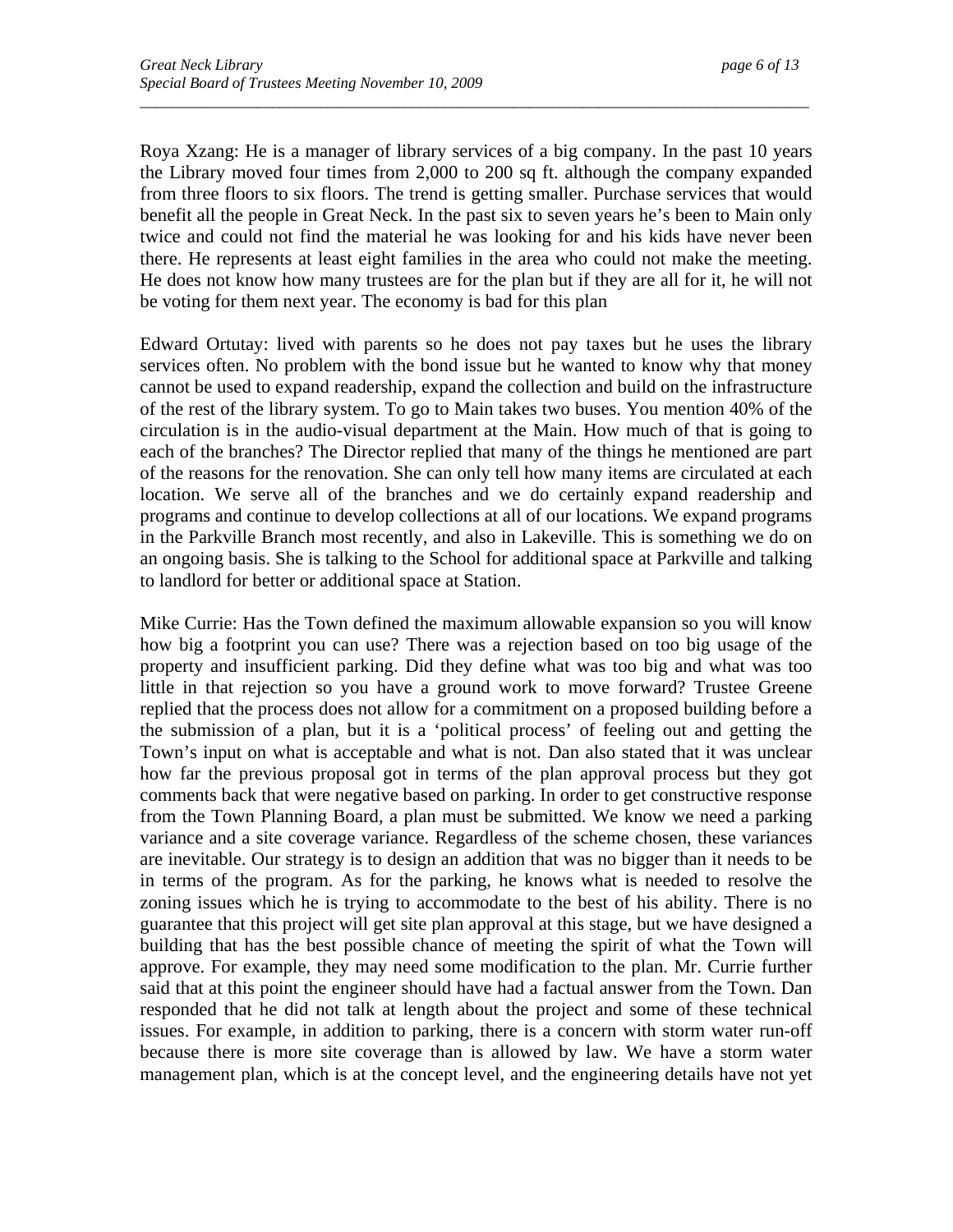Roya Xzang: He is a manager of library services of a big company. In the past 10 years the Library moved four times from 2,000 to 200 sq ft. although the company expanded from three floors to six floors. The trend is getting smaller. Purchase services that would benefit all the people in Great Neck. In the past six to seven years he's been to Main only twice and could not find the material he was looking for and his kids have never been there. He represents at least eight families in the area who could not make the meeting. He does not know how many trustees are for the plan but if they are all for it, he will not be voting for them next year. The economy is bad for this plan

*\_\_\_\_\_\_\_\_\_\_\_\_\_\_\_\_\_\_\_\_\_\_\_\_\_\_\_\_\_\_\_\_\_\_\_\_\_\_\_\_\_\_\_\_\_\_\_\_\_\_\_\_\_\_\_\_\_\_\_\_\_\_\_\_\_\_\_\_\_\_\_\_\_\_\_\_\_\_\_\_\_\_\_\_\_\_* 

Edward Ortutay: lived with parents so he does not pay taxes but he uses the library services often. No problem with the bond issue but he wanted to know why that money cannot be used to expand readership, expand the collection and build on the infrastructure of the rest of the library system. To go to Main takes two buses. You mention 40% of the circulation is in the audio-visual department at the Main. How much of that is going to each of the branches? The Director replied that many of the things he mentioned are part of the reasons for the renovation. She can only tell how many items are circulated at each location. We serve all of the branches and we do certainly expand readership and programs and continue to develop collections at all of our locations. We expand programs in the Parkville Branch most recently, and also in Lakeville. This is something we do on an ongoing basis. She is talking to the School for additional space at Parkville and talking to landlord for better or additional space at Station.

Mike Currie: Has the Town defined the maximum allowable expansion so you will know how big a footprint you can use? There was a rejection based on too big usage of the property and insufficient parking. Did they define what was too big and what was too little in that rejection so you have a ground work to move forward? Trustee Greene replied that the process does not allow for a commitment on a proposed building before a the submission of a plan, but it is a 'political process' of feeling out and getting the Town's input on what is acceptable and what is not. Dan also stated that it was unclear how far the previous proposal got in terms of the plan approval process but they got comments back that were negative based on parking. In order to get constructive response from the Town Planning Board, a plan must be submitted. We know we need a parking variance and a site coverage variance. Regardless of the scheme chosen, these variances are inevitable. Our strategy is to design an addition that was no bigger than it needs to be in terms of the program. As for the parking, he knows what is needed to resolve the zoning issues which he is trying to accommodate to the best of his ability. There is no guarantee that this project will get site plan approval at this stage, but we have designed a building that has the best possible chance of meeting the spirit of what the Town will approve. For example, they may need some modification to the plan. Mr. Currie further said that at this point the engineer should have had a factual answer from the Town. Dan responded that he did not talk at length about the project and some of these technical issues. For example, in addition to parking, there is a concern with storm water run-off because there is more site coverage than is allowed by law. We have a storm water management plan, which is at the concept level, and the engineering details have not yet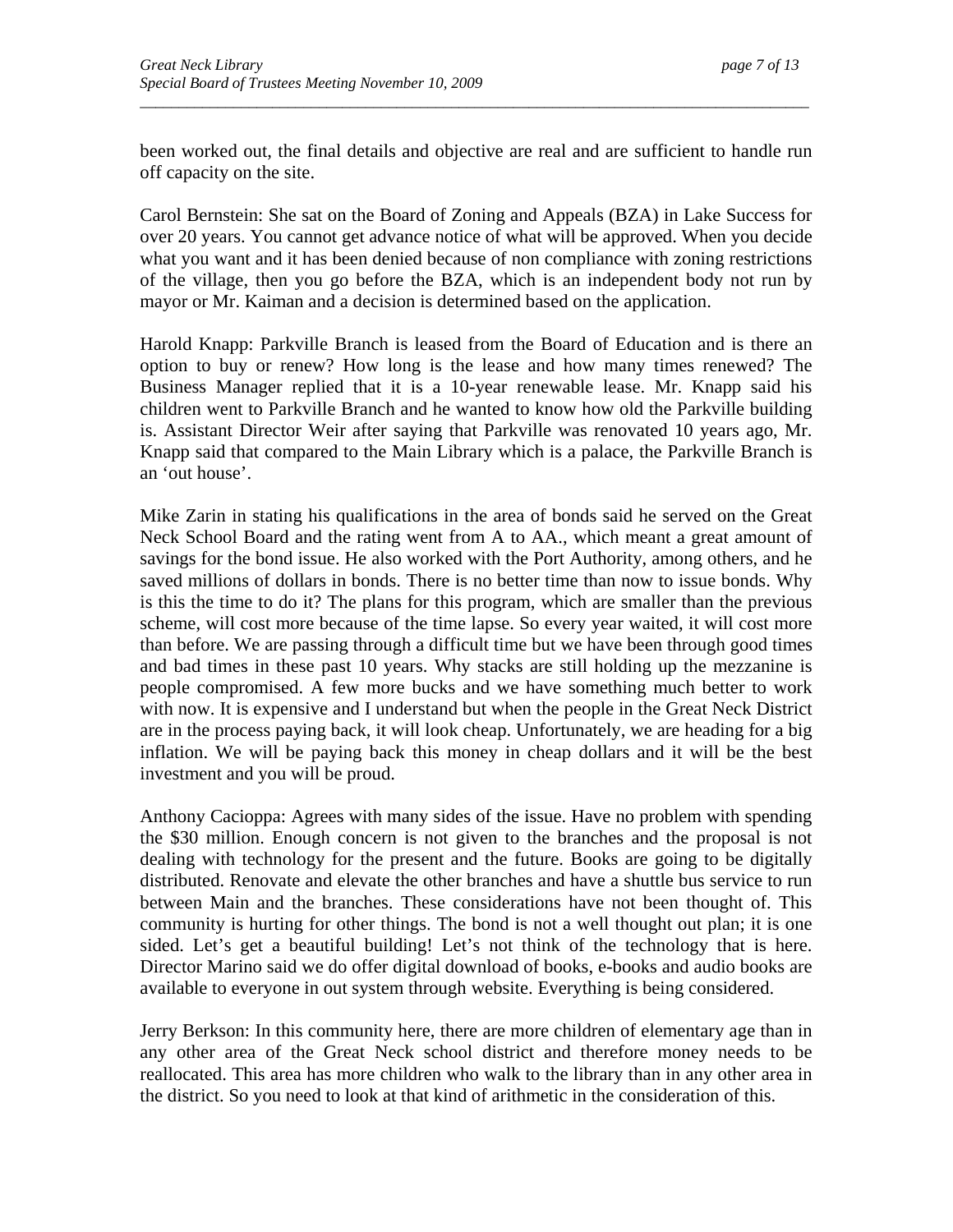been worked out, the final details and objective are real and are sufficient to handle run off capacity on the site.

*\_\_\_\_\_\_\_\_\_\_\_\_\_\_\_\_\_\_\_\_\_\_\_\_\_\_\_\_\_\_\_\_\_\_\_\_\_\_\_\_\_\_\_\_\_\_\_\_\_\_\_\_\_\_\_\_\_\_\_\_\_\_\_\_\_\_\_\_\_\_\_\_\_\_\_\_\_\_\_\_\_\_\_\_\_\_* 

Carol Bernstein: She sat on the Board of Zoning and Appeals (BZA) in Lake Success for over 20 years. You cannot get advance notice of what will be approved. When you decide what you want and it has been denied because of non compliance with zoning restrictions of the village, then you go before the BZA, which is an independent body not run by mayor or Mr. Kaiman and a decision is determined based on the application.

Harold Knapp: Parkville Branch is leased from the Board of Education and is there an option to buy or renew? How long is the lease and how many times renewed? The Business Manager replied that it is a 10-year renewable lease. Mr. Knapp said his children went to Parkville Branch and he wanted to know how old the Parkville building is. Assistant Director Weir after saying that Parkville was renovated 10 years ago, Mr. Knapp said that compared to the Main Library which is a palace, the Parkville Branch is an 'out house'.

Mike Zarin in stating his qualifications in the area of bonds said he served on the Great Neck School Board and the rating went from A to AA., which meant a great amount of savings for the bond issue. He also worked with the Port Authority, among others, and he saved millions of dollars in bonds. There is no better time than now to issue bonds. Why is this the time to do it? The plans for this program, which are smaller than the previous scheme, will cost more because of the time lapse. So every year waited, it will cost more than before. We are passing through a difficult time but we have been through good times and bad times in these past 10 years. Why stacks are still holding up the mezzanine is people compromised. A few more bucks and we have something much better to work with now. It is expensive and I understand but when the people in the Great Neck District are in the process paying back, it will look cheap. Unfortunately, we are heading for a big inflation. We will be paying back this money in cheap dollars and it will be the best investment and you will be proud.

Anthony Cacioppa: Agrees with many sides of the issue. Have no problem with spending the \$30 million. Enough concern is not given to the branches and the proposal is not dealing with technology for the present and the future. Books are going to be digitally distributed. Renovate and elevate the other branches and have a shuttle bus service to run between Main and the branches. These considerations have not been thought of. This community is hurting for other things. The bond is not a well thought out plan; it is one sided. Let's get a beautiful building! Let's not think of the technology that is here. Director Marino said we do offer digital download of books, e-books and audio books are available to everyone in out system through website. Everything is being considered.

Jerry Berkson: In this community here, there are more children of elementary age than in any other area of the Great Neck school district and therefore money needs to be reallocated. This area has more children who walk to the library than in any other area in the district. So you need to look at that kind of arithmetic in the consideration of this.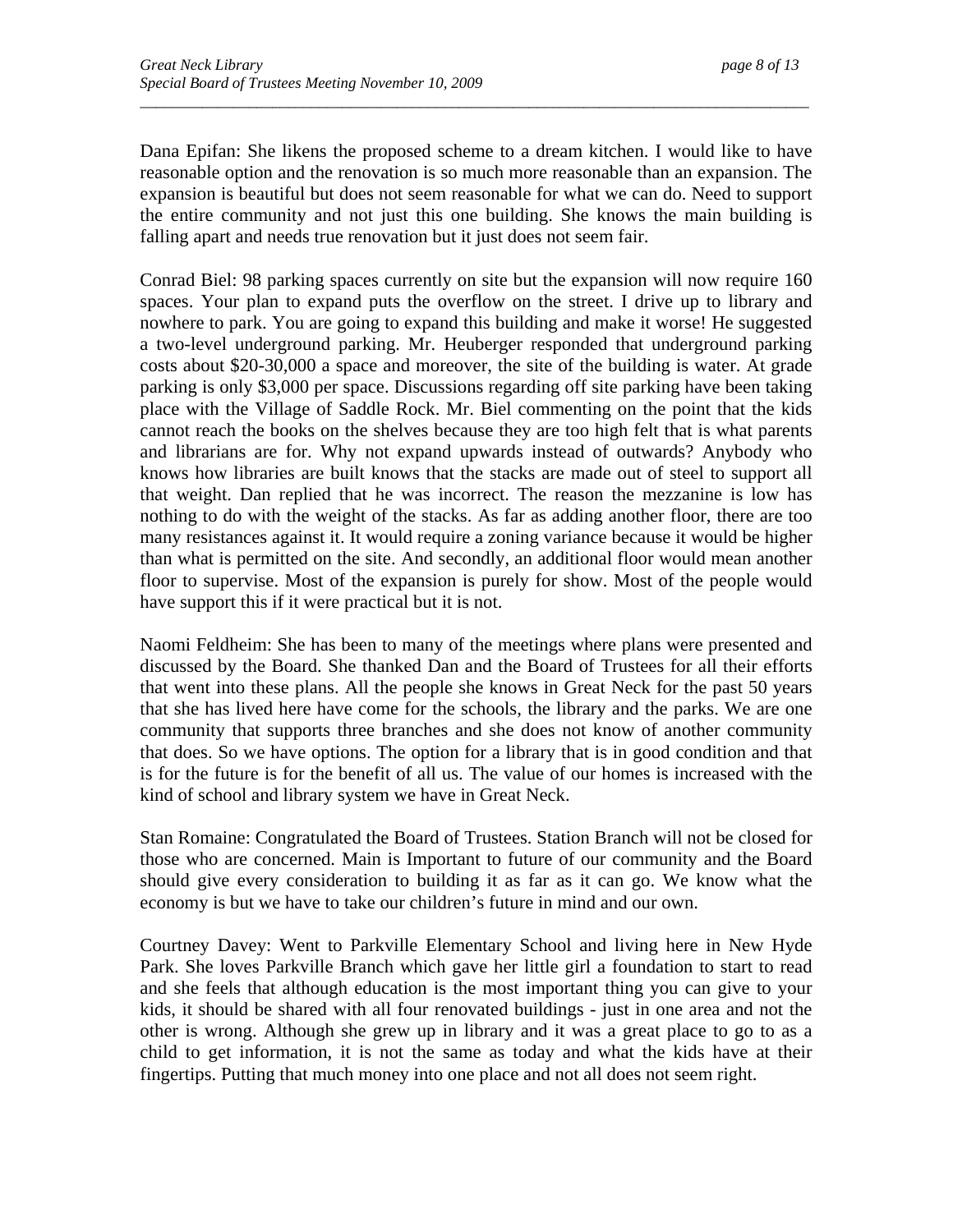Dana Epifan: She likens the proposed scheme to a dream kitchen. I would like to have reasonable option and the renovation is so much more reasonable than an expansion. The expansion is beautiful but does not seem reasonable for what we can do. Need to support the entire community and not just this one building. She knows the main building is falling apart and needs true renovation but it just does not seem fair.

*\_\_\_\_\_\_\_\_\_\_\_\_\_\_\_\_\_\_\_\_\_\_\_\_\_\_\_\_\_\_\_\_\_\_\_\_\_\_\_\_\_\_\_\_\_\_\_\_\_\_\_\_\_\_\_\_\_\_\_\_\_\_\_\_\_\_\_\_\_\_\_\_\_\_\_\_\_\_\_\_\_\_\_\_\_\_* 

Conrad Biel: 98 parking spaces currently on site but the expansion will now require 160 spaces. Your plan to expand puts the overflow on the street. I drive up to library and nowhere to park. You are going to expand this building and make it worse! He suggested a two-level underground parking. Mr. Heuberger responded that underground parking costs about \$20-30,000 a space and moreover, the site of the building is water. At grade parking is only \$3,000 per space. Discussions regarding off site parking have been taking place with the Village of Saddle Rock. Mr. Biel commenting on the point that the kids cannot reach the books on the shelves because they are too high felt that is what parents and librarians are for. Why not expand upwards instead of outwards? Anybody who knows how libraries are built knows that the stacks are made out of steel to support all that weight. Dan replied that he was incorrect. The reason the mezzanine is low has nothing to do with the weight of the stacks. As far as adding another floor, there are too many resistances against it. It would require a zoning variance because it would be higher than what is permitted on the site. And secondly, an additional floor would mean another floor to supervise. Most of the expansion is purely for show. Most of the people would have support this if it were practical but it is not.

Naomi Feldheim: She has been to many of the meetings where plans were presented and discussed by the Board. She thanked Dan and the Board of Trustees for all their efforts that went into these plans. All the people she knows in Great Neck for the past 50 years that she has lived here have come for the schools, the library and the parks. We are one community that supports three branches and she does not know of another community that does. So we have options. The option for a library that is in good condition and that is for the future is for the benefit of all us. The value of our homes is increased with the kind of school and library system we have in Great Neck.

Stan Romaine: Congratulated the Board of Trustees. Station Branch will not be closed for those who are concerned. Main is Important to future of our community and the Board should give every consideration to building it as far as it can go. We know what the economy is but we have to take our children's future in mind and our own.

Courtney Davey: Went to Parkville Elementary School and living here in New Hyde Park. She loves Parkville Branch which gave her little girl a foundation to start to read and she feels that although education is the most important thing you can give to your kids, it should be shared with all four renovated buildings - just in one area and not the other is wrong. Although she grew up in library and it was a great place to go to as a child to get information, it is not the same as today and what the kids have at their fingertips. Putting that much money into one place and not all does not seem right.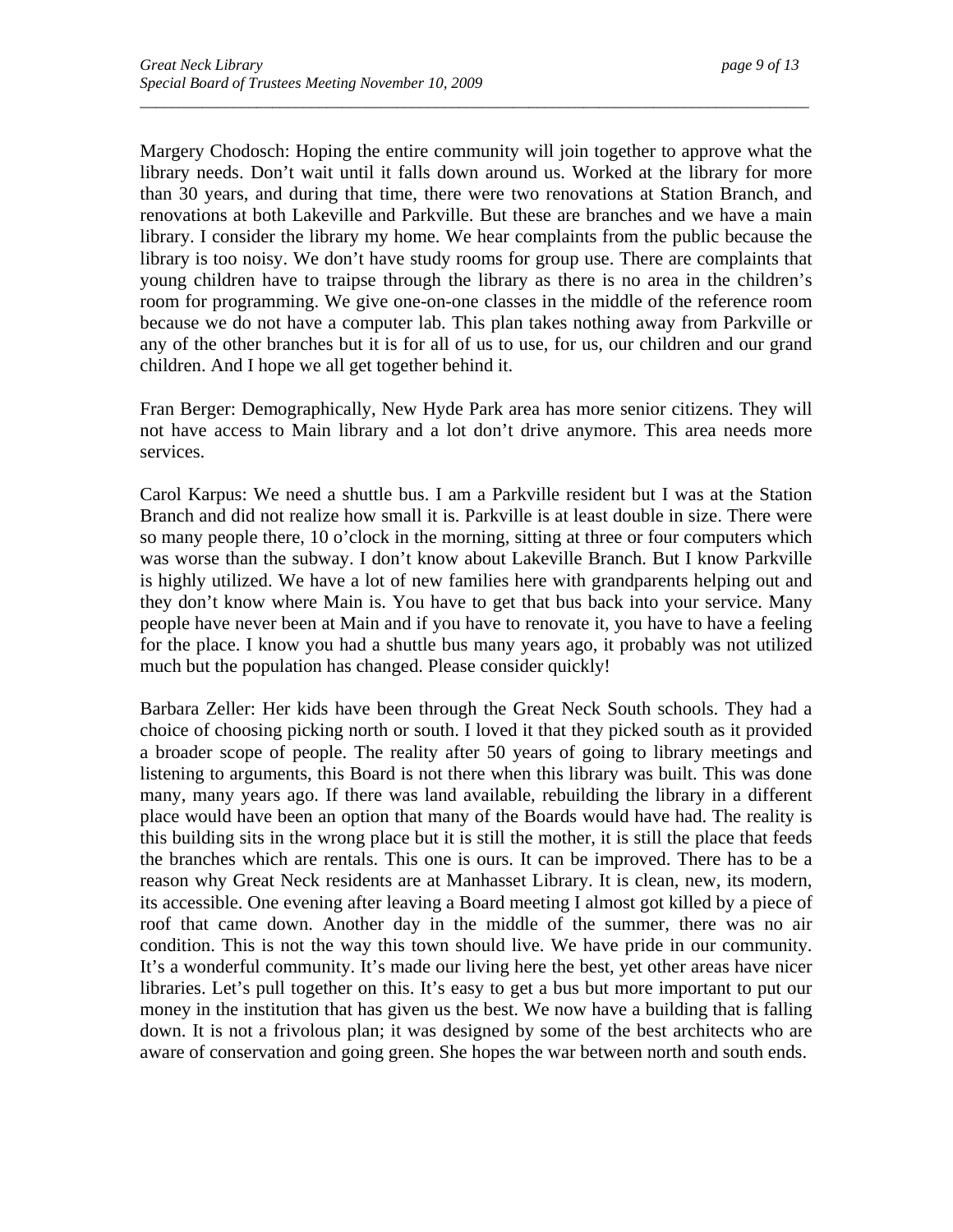Margery Chodosch: Hoping the entire community will join together to approve what the library needs. Don't wait until it falls down around us. Worked at the library for more than 30 years, and during that time, there were two renovations at Station Branch, and renovations at both Lakeville and Parkville. But these are branches and we have a main library. I consider the library my home. We hear complaints from the public because the library is too noisy. We don't have study rooms for group use. There are complaints that young children have to traipse through the library as there is no area in the children's room for programming. We give one-on-one classes in the middle of the reference room because we do not have a computer lab. This plan takes nothing away from Parkville or any of the other branches but it is for all of us to use, for us, our children and our grand children. And I hope we all get together behind it.

*\_\_\_\_\_\_\_\_\_\_\_\_\_\_\_\_\_\_\_\_\_\_\_\_\_\_\_\_\_\_\_\_\_\_\_\_\_\_\_\_\_\_\_\_\_\_\_\_\_\_\_\_\_\_\_\_\_\_\_\_\_\_\_\_\_\_\_\_\_\_\_\_\_\_\_\_\_\_\_\_\_\_\_\_\_\_* 

Fran Berger: Demographically, New Hyde Park area has more senior citizens. They will not have access to Main library and a lot don't drive anymore. This area needs more services.

Carol Karpus: We need a shuttle bus. I am a Parkville resident but I was at the Station Branch and did not realize how small it is. Parkville is at least double in size. There were so many people there, 10 o'clock in the morning, sitting at three or four computers which was worse than the subway. I don't know about Lakeville Branch. But I know Parkville is highly utilized. We have a lot of new families here with grandparents helping out and they don't know where Main is. You have to get that bus back into your service. Many people have never been at Main and if you have to renovate it, you have to have a feeling for the place. I know you had a shuttle bus many years ago, it probably was not utilized much but the population has changed. Please consider quickly!

Barbara Zeller: Her kids have been through the Great Neck South schools. They had a choice of choosing picking north or south. I loved it that they picked south as it provided a broader scope of people. The reality after 50 years of going to library meetings and listening to arguments, this Board is not there when this library was built. This was done many, many years ago. If there was land available, rebuilding the library in a different place would have been an option that many of the Boards would have had. The reality is this building sits in the wrong place but it is still the mother, it is still the place that feeds the branches which are rentals. This one is ours. It can be improved. There has to be a reason why Great Neck residents are at Manhasset Library. It is clean, new, its modern, its accessible. One evening after leaving a Board meeting I almost got killed by a piece of roof that came down. Another day in the middle of the summer, there was no air condition. This is not the way this town should live. We have pride in our community. It's a wonderful community. It's made our living here the best, yet other areas have nicer libraries. Let's pull together on this. It's easy to get a bus but more important to put our money in the institution that has given us the best. We now have a building that is falling down. It is not a frivolous plan; it was designed by some of the best architects who are aware of conservation and going green. She hopes the war between north and south ends.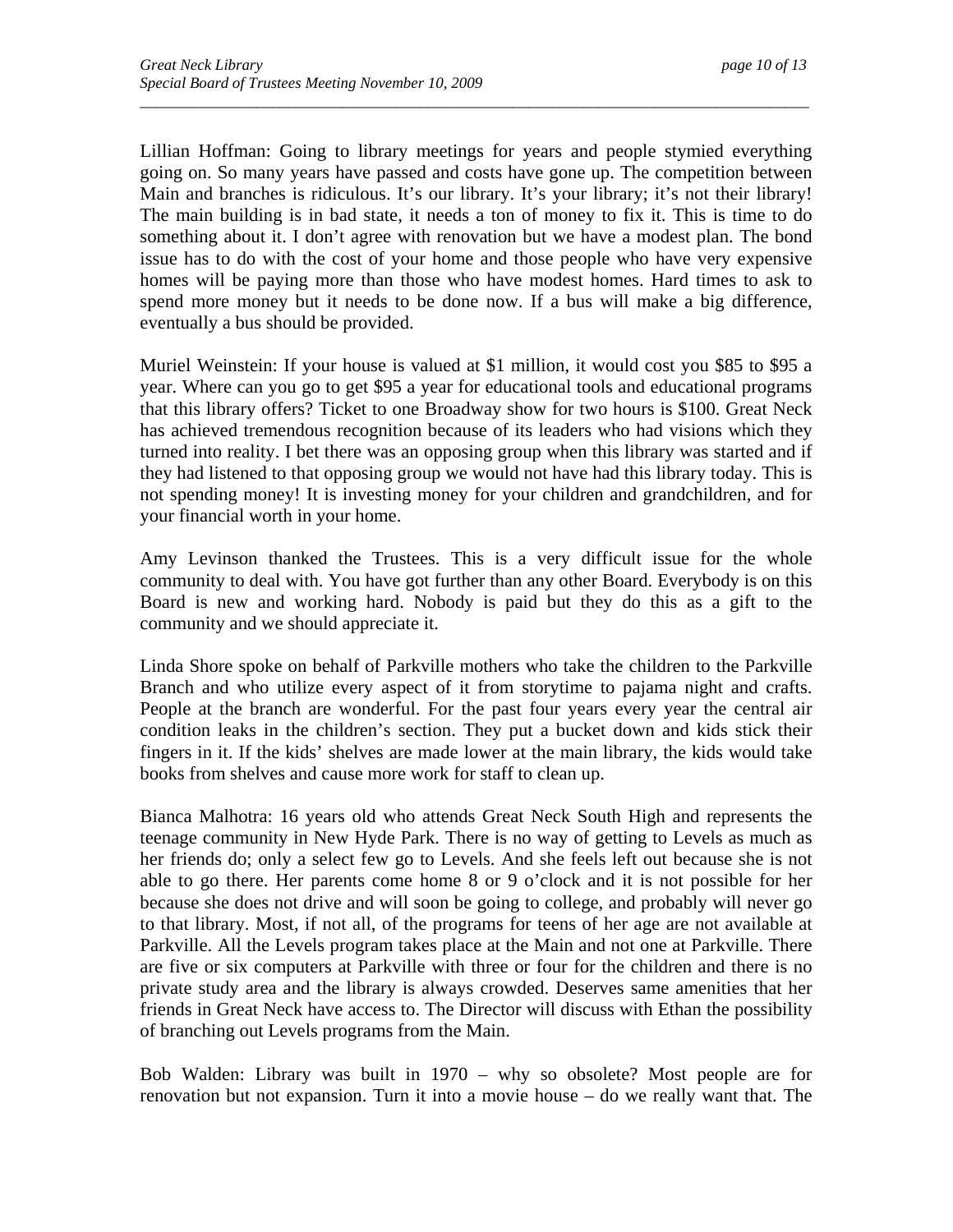Lillian Hoffman: Going to library meetings for years and people stymied everything going on. So many years have passed and costs have gone up. The competition between Main and branches is ridiculous. It's our library. It's your library; it's not their library! The main building is in bad state, it needs a ton of money to fix it. This is time to do something about it. I don't agree with renovation but we have a modest plan. The bond issue has to do with the cost of your home and those people who have very expensive homes will be paying more than those who have modest homes. Hard times to ask to spend more money but it needs to be done now. If a bus will make a big difference, eventually a bus should be provided.

*\_\_\_\_\_\_\_\_\_\_\_\_\_\_\_\_\_\_\_\_\_\_\_\_\_\_\_\_\_\_\_\_\_\_\_\_\_\_\_\_\_\_\_\_\_\_\_\_\_\_\_\_\_\_\_\_\_\_\_\_\_\_\_\_\_\_\_\_\_\_\_\_\_\_\_\_\_\_\_\_\_\_\_\_\_\_* 

Muriel Weinstein: If your house is valued at \$1 million, it would cost you \$85 to \$95 a year. Where can you go to get \$95 a year for educational tools and educational programs that this library offers? Ticket to one Broadway show for two hours is \$100. Great Neck has achieved tremendous recognition because of its leaders who had visions which they turned into reality. I bet there was an opposing group when this library was started and if they had listened to that opposing group we would not have had this library today. This is not spending money! It is investing money for your children and grandchildren, and for your financial worth in your home.

Amy Levinson thanked the Trustees. This is a very difficult issue for the whole community to deal with. You have got further than any other Board. Everybody is on this Board is new and working hard. Nobody is paid but they do this as a gift to the community and we should appreciate it.

Linda Shore spoke on behalf of Parkville mothers who take the children to the Parkville Branch and who utilize every aspect of it from storytime to pajama night and crafts. People at the branch are wonderful. For the past four years every year the central air condition leaks in the children's section. They put a bucket down and kids stick their fingers in it. If the kids' shelves are made lower at the main library, the kids would take books from shelves and cause more work for staff to clean up.

Bianca Malhotra: 16 years old who attends Great Neck South High and represents the teenage community in New Hyde Park. There is no way of getting to Levels as much as her friends do; only a select few go to Levels. And she feels left out because she is not able to go there. Her parents come home 8 or 9 o'clock and it is not possible for her because she does not drive and will soon be going to college, and probably will never go to that library. Most, if not all, of the programs for teens of her age are not available at Parkville. All the Levels program takes place at the Main and not one at Parkville. There are five or six computers at Parkville with three or four for the children and there is no private study area and the library is always crowded. Deserves same amenities that her friends in Great Neck have access to. The Director will discuss with Ethan the possibility of branching out Levels programs from the Main.

Bob Walden: Library was built in 1970 – why so obsolete? Most people are for renovation but not expansion. Turn it into a movie house – do we really want that. The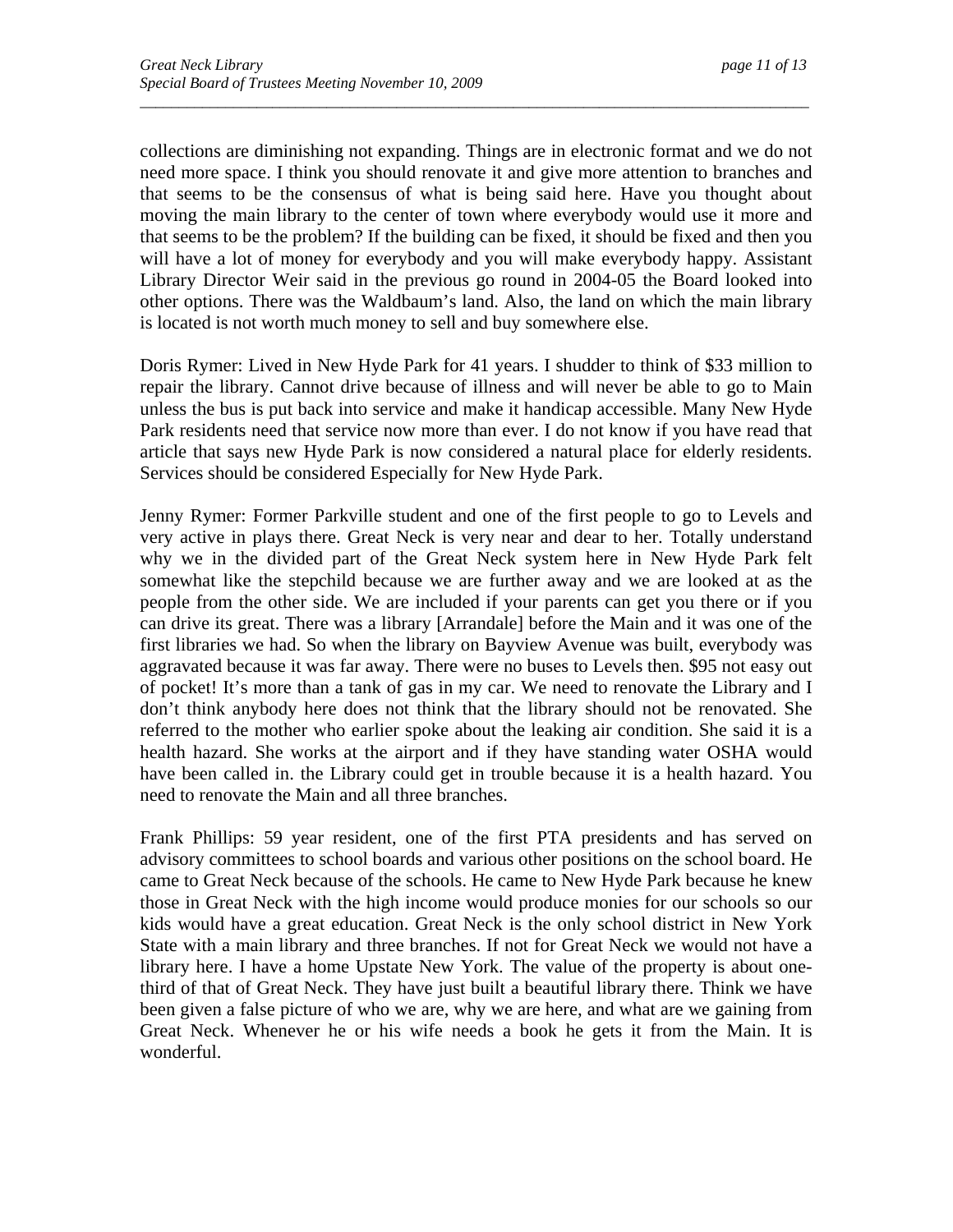collections are diminishing not expanding. Things are in electronic format and we do not need more space. I think you should renovate it and give more attention to branches and that seems to be the consensus of what is being said here. Have you thought about moving the main library to the center of town where everybody would use it more and that seems to be the problem? If the building can be fixed, it should be fixed and then you will have a lot of money for everybody and you will make everybody happy. Assistant Library Director Weir said in the previous go round in 2004-05 the Board looked into other options. There was the Waldbaum's land. Also, the land on which the main library is located is not worth much money to sell and buy somewhere else.

*\_\_\_\_\_\_\_\_\_\_\_\_\_\_\_\_\_\_\_\_\_\_\_\_\_\_\_\_\_\_\_\_\_\_\_\_\_\_\_\_\_\_\_\_\_\_\_\_\_\_\_\_\_\_\_\_\_\_\_\_\_\_\_\_\_\_\_\_\_\_\_\_\_\_\_\_\_\_\_\_\_\_\_\_\_\_* 

Doris Rymer: Lived in New Hyde Park for 41 years. I shudder to think of \$33 million to repair the library. Cannot drive because of illness and will never be able to go to Main unless the bus is put back into service and make it handicap accessible. Many New Hyde Park residents need that service now more than ever. I do not know if you have read that article that says new Hyde Park is now considered a natural place for elderly residents. Services should be considered Especially for New Hyde Park.

Jenny Rymer: Former Parkville student and one of the first people to go to Levels and very active in plays there. Great Neck is very near and dear to her. Totally understand why we in the divided part of the Great Neck system here in New Hyde Park felt somewhat like the stepchild because we are further away and we are looked at as the people from the other side. We are included if your parents can get you there or if you can drive its great. There was a library [Arrandale] before the Main and it was one of the first libraries we had. So when the library on Bayview Avenue was built, everybody was aggravated because it was far away. There were no buses to Levels then. \$95 not easy out of pocket! It's more than a tank of gas in my car. We need to renovate the Library and I don't think anybody here does not think that the library should not be renovated. She referred to the mother who earlier spoke about the leaking air condition. She said it is a health hazard. She works at the airport and if they have standing water OSHA would have been called in. the Library could get in trouble because it is a health hazard. You need to renovate the Main and all three branches.

Frank Phillips: 59 year resident, one of the first PTA presidents and has served on advisory committees to school boards and various other positions on the school board. He came to Great Neck because of the schools. He came to New Hyde Park because he knew those in Great Neck with the high income would produce monies for our schools so our kids would have a great education. Great Neck is the only school district in New York State with a main library and three branches. If not for Great Neck we would not have a library here. I have a home Upstate New York. The value of the property is about onethird of that of Great Neck. They have just built a beautiful library there. Think we have been given a false picture of who we are, why we are here, and what are we gaining from Great Neck. Whenever he or his wife needs a book he gets it from the Main. It is wonderful.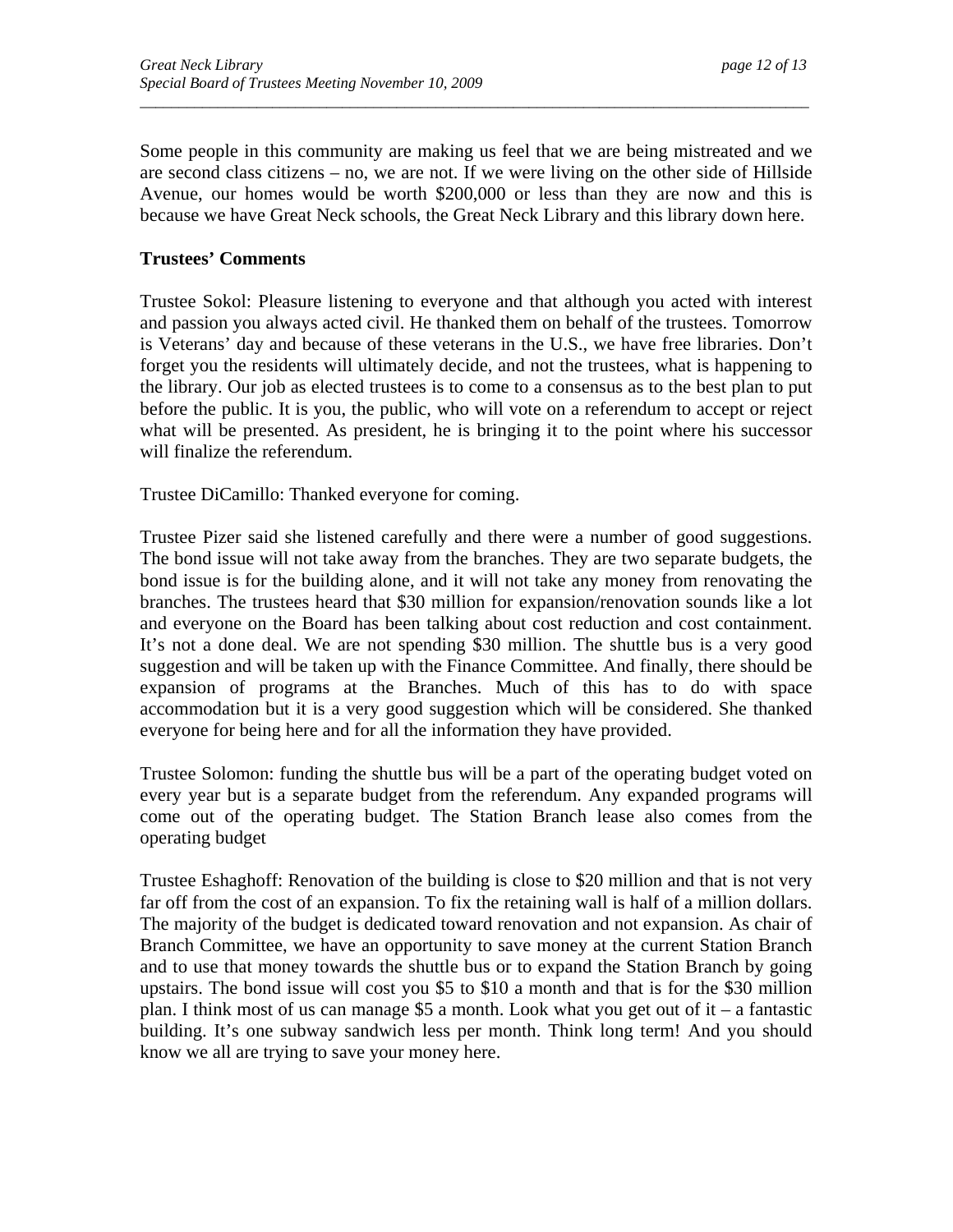Some people in this community are making us feel that we are being mistreated and we are second class citizens – no, we are not. If we were living on the other side of Hillside Avenue, our homes would be worth \$200,000 or less than they are now and this is because we have Great Neck schools, the Great Neck Library and this library down here.

*\_\_\_\_\_\_\_\_\_\_\_\_\_\_\_\_\_\_\_\_\_\_\_\_\_\_\_\_\_\_\_\_\_\_\_\_\_\_\_\_\_\_\_\_\_\_\_\_\_\_\_\_\_\_\_\_\_\_\_\_\_\_\_\_\_\_\_\_\_\_\_\_\_\_\_\_\_\_\_\_\_\_\_\_\_\_* 

## **Trustees' Comments**

Trustee Sokol: Pleasure listening to everyone and that although you acted with interest and passion you always acted civil. He thanked them on behalf of the trustees. Tomorrow is Veterans' day and because of these veterans in the U.S., we have free libraries. Don't forget you the residents will ultimately decide, and not the trustees, what is happening to the library. Our job as elected trustees is to come to a consensus as to the best plan to put before the public. It is you, the public, who will vote on a referendum to accept or reject what will be presented. As president, he is bringing it to the point where his successor will finalize the referendum.

Trustee DiCamillo: Thanked everyone for coming.

Trustee Pizer said she listened carefully and there were a number of good suggestions. The bond issue will not take away from the branches. They are two separate budgets, the bond issue is for the building alone, and it will not take any money from renovating the branches. The trustees heard that \$30 million for expansion/renovation sounds like a lot and everyone on the Board has been talking about cost reduction and cost containment. It's not a done deal. We are not spending \$30 million. The shuttle bus is a very good suggestion and will be taken up with the Finance Committee. And finally, there should be expansion of programs at the Branches. Much of this has to do with space accommodation but it is a very good suggestion which will be considered. She thanked everyone for being here and for all the information they have provided.

Trustee Solomon: funding the shuttle bus will be a part of the operating budget voted on every year but is a separate budget from the referendum. Any expanded programs will come out of the operating budget. The Station Branch lease also comes from the operating budget

Trustee Eshaghoff: Renovation of the building is close to \$20 million and that is not very far off from the cost of an expansion. To fix the retaining wall is half of a million dollars. The majority of the budget is dedicated toward renovation and not expansion. As chair of Branch Committee, we have an opportunity to save money at the current Station Branch and to use that money towards the shuttle bus or to expand the Station Branch by going upstairs. The bond issue will cost you \$5 to \$10 a month and that is for the \$30 million plan. I think most of us can manage \$5 a month. Look what you get out of it – a fantastic building. It's one subway sandwich less per month. Think long term! And you should know we all are trying to save your money here.